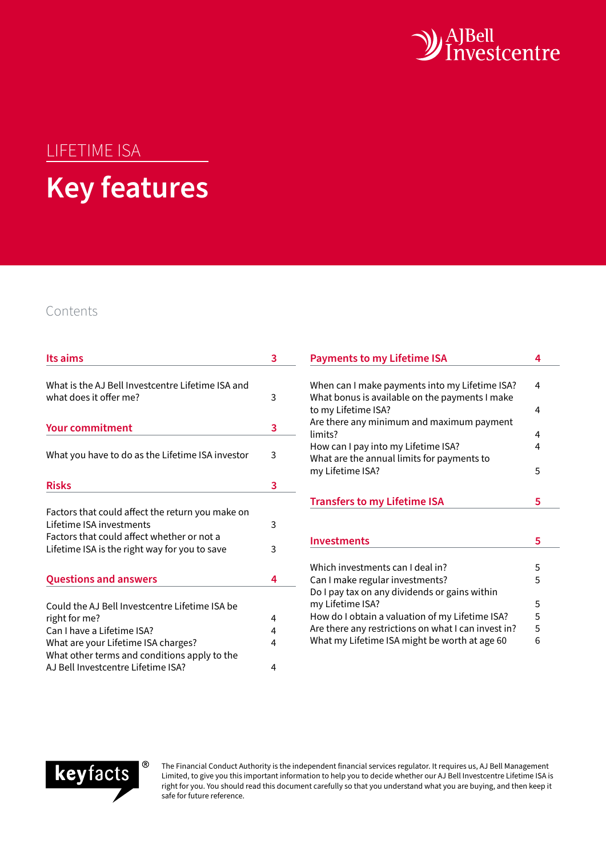

# LIFETIME ISA **Key features**

# Contents

| Its aims                                                                                                                                                                                                                   | 3                |
|----------------------------------------------------------------------------------------------------------------------------------------------------------------------------------------------------------------------------|------------------|
| What is the AJ Bell Investcentre Lifetime ISA and<br>what does it offer me?                                                                                                                                                | 3                |
| <b>Your commitment</b>                                                                                                                                                                                                     | 3                |
| What you have to do as the Lifetime ISA investor                                                                                                                                                                           | 3                |
| <b>Risks</b>                                                                                                                                                                                                               | 3                |
| Factors that could affect the return you make on<br>Lifetime ISA investments<br>Factors that could affect whether or not a<br>Lifetime ISA is the right way for you to save                                                | 3<br>3           |
| <b>Questions and answers</b>                                                                                                                                                                                               | 4                |
| Could the AJ Bell Investcentre Lifetime ISA be<br>right for me?<br>Can I have a Lifetime ISA?<br>What are your Lifetime ISA charges?<br>What other terms and conditions apply to the<br>AJ Bell Investcentre Lifetime ISA? | 4<br>4<br>4<br>4 |

| <b>Payments to my Lifetime ISA</b>                                                               |   |  |  |  |
|--------------------------------------------------------------------------------------------------|---|--|--|--|
|                                                                                                  |   |  |  |  |
| When can I make payments into my Lifetime ISA?<br>What bonus is available on the payments I make | 4 |  |  |  |
| to my Lifetime ISA?                                                                              | 4 |  |  |  |
| Are there any minimum and maximum payment                                                        |   |  |  |  |
| limits?                                                                                          | 4 |  |  |  |
| How can I pay into my Lifetime ISA?                                                              | 4 |  |  |  |
| What are the annual limits for payments to                                                       |   |  |  |  |
| my Lifetime ISA?                                                                                 | 5 |  |  |  |
|                                                                                                  |   |  |  |  |
| <b>Transfers to my Lifetime ISA</b>                                                              |   |  |  |  |
|                                                                                                  |   |  |  |  |
|                                                                                                  |   |  |  |  |
| <b>Investments</b>                                                                               | 5 |  |  |  |
|                                                                                                  |   |  |  |  |
| Which investments can I deal in?                                                                 | 5 |  |  |  |
| Can I make regular investments?                                                                  | 5 |  |  |  |
| Do I pay tax on any dividends or gains within                                                    |   |  |  |  |
| my Lifetime ISA?                                                                                 | 5 |  |  |  |
| How do I obtain a valuation of my Lifetime ISA?                                                  | 5 |  |  |  |
| Are there any restrictions on what I can invest in?                                              | 5 |  |  |  |
| What my Lifetime ISA might be worth at age 60                                                    | 6 |  |  |  |
|                                                                                                  |   |  |  |  |



The Financial Conduct Authority is the independent financial services regulator. It requires us, AJ Bell Management Limited, to give you this important information to help you to decide whether our AJ Bell Investcentre Lifetime ISA is right for you. You should read this document carefully so that you understand what you are buying, and then keep it safe for future reference.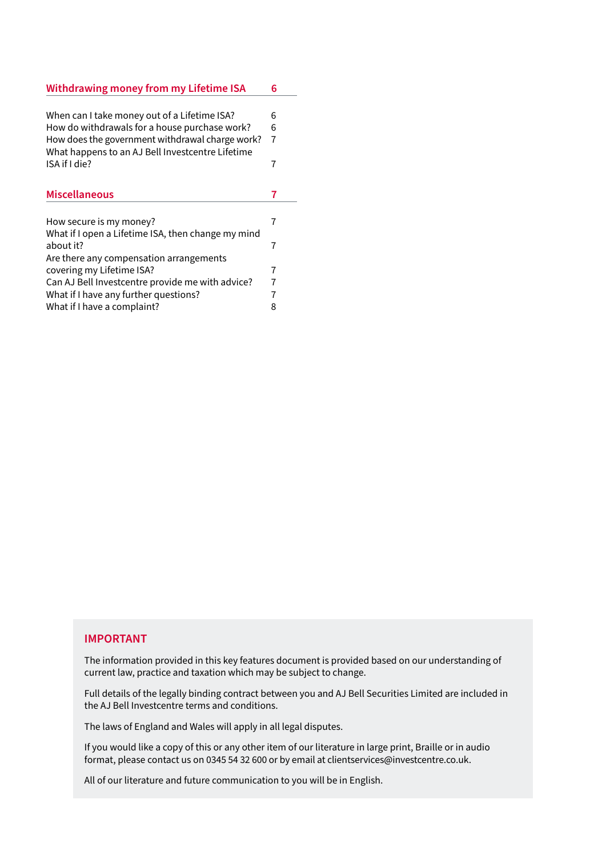| <b>Withdrawing money from my Lifetime ISA</b>      |                |  |  |  |
|----------------------------------------------------|----------------|--|--|--|
|                                                    |                |  |  |  |
| When can I take money out of a Lifetime ISA?       | 6              |  |  |  |
| How do withdrawals for a house purchase work?      | 6              |  |  |  |
| How does the government withdrawal charge work?    | $\overline{7}$ |  |  |  |
| What happens to an AJ Bell Investcentre Lifetime   |                |  |  |  |
| ISA if I die?                                      | 7              |  |  |  |
|                                                    |                |  |  |  |
| <b>Miscellaneous</b>                               | 7              |  |  |  |
|                                                    |                |  |  |  |
| How secure is my money?                            | 7              |  |  |  |
| What if I open a Lifetime ISA, then change my mind |                |  |  |  |
| about it?                                          | 7              |  |  |  |
| Are there any compensation arrangements            |                |  |  |  |
| covering my Lifetime ISA?                          | 7              |  |  |  |
| Can AJ Bell Investcentre provide me with advice?   | $\overline{7}$ |  |  |  |
| What if I have any further questions?              | 7              |  |  |  |
| What if I have a complaint?                        | 8              |  |  |  |

## **IMPORTANT**

The information provided in this key features document is provided based on our understanding of current law, practice and taxation which may be subject to change.

Full details of the legally binding contract between you and AJ Bell Securities Limited are included in the AJ Bell Investcentre terms and conditions.

The laws of England and Wales will apply in all legal disputes.

If you would like a copy of this or any other item of our literature in large print, Braille or in audio format, please contact us on 0345 54 32 600 or by email at clientservices@investcentre.co.uk.

All of our literature and future communication to you will be in English.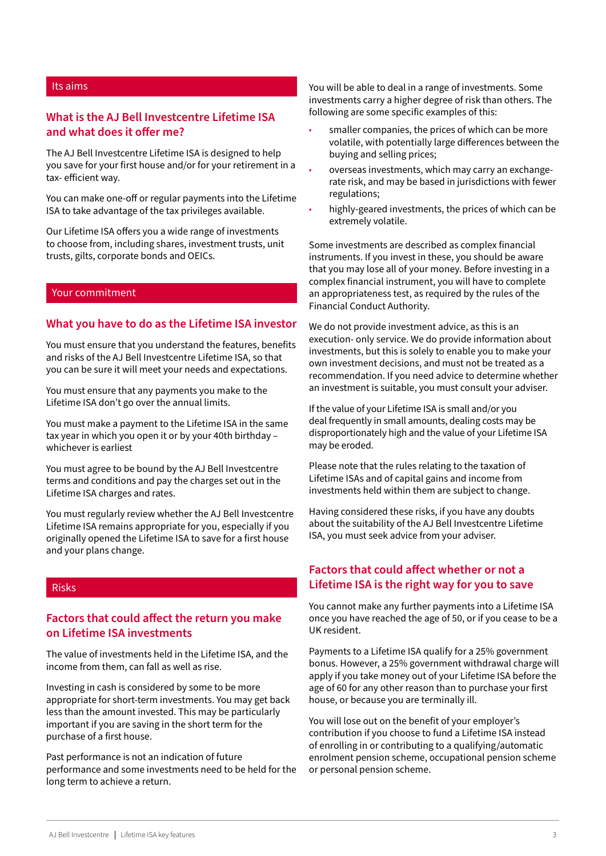## <span id="page-2-0"></span>Its aims

## **What is the AJ Bell Investcentre Lifetime ISA and what does it offer me?**

The AJ Bell Investcentre Lifetime ISA is designed to help you save for your first house and/or for your retirement in a tax- efficient way.

You can make one-off or regular payments into the Lifetime ISA to take advantage of the tax privileges available.

Our Lifetime ISA offers you a wide range of investments to choose from, including shares, investment trusts, unit trusts, gilts, corporate bonds and OEICs.

#### Your commitment

#### **What you have to do as the Lifetime ISA investor**

You must ensure that you understand the features, benefits and risks of the AJ Bell Investcentre Lifetime ISA, so that you can be sure it will meet your needs and expectations.

You must ensure that any payments you make to the Lifetime ISA don't go over the annual limits.

You must make a payment to the Lifetime ISA in the same tax year in which you open it or by your 40th birthday – whichever is earliest

You must agree to be bound by the AJ Bell Investcentre terms and conditions and pay the charges set out in the Lifetime ISA charges and rates.

You must regularly review whether the AJ Bell Investcentre Lifetime ISA remains appropriate for you, especially if you originally opened the Lifetime ISA to save for a first house and your plans change.

#### Risks

# **Factors that could affect the return you make on Lifetime ISA investments**

The value of investments held in the Lifetime ISA, and the income from them, can fall as well as rise.

Investing in cash is considered by some to be more appropriate for short-term investments. You may get back less than the amount invested. This may be particularly important if you are saving in the short term for the purchase of a first house.

Past performance is not an indication of future performance and some investments need to be held for the long term to achieve a return.

You will be able to deal in a range of investments. Some investments carry a higher degree of risk than others. The following are some specific examples of this:

- smaller companies, the prices of which can be more volatile, with potentially large differences between the buying and selling prices;
- overseas investments, which may carry an exchangerate risk, and may be based in jurisdictions with fewer regulations;
- highly-geared investments, the prices of which can be extremely volatile.

Some investments are described as complex financial instruments. If you invest in these, you should be aware that you may lose all of your money. Before investing in a complex financial instrument, you will have to complete an appropriateness test, as required by the rules of the Financial Conduct Authority.

We do not provide investment advice, as this is an execution- only service. We do provide information about investments, but this is solely to enable you to make your own investment decisions, and must not be treated as a recommendation. If you need advice to determine whether an investment is suitable, you must consult your adviser.

If the value of your Lifetime ISA is small and/or you deal frequently in small amounts, dealing costs may be disproportionately high and the value of your Lifetime ISA may be eroded.

Please note that the rules relating to the taxation of Lifetime ISAs and of capital gains and income from investments held within them are subject to change.

Having considered these risks, if you have any doubts about the suitability of the AJ Bell Investcentre Lifetime ISA, you must seek advice from your adviser.

# **Factors that could affect whether or not a Lifetime ISA is the right way for you to save**

You cannot make any further payments into a Lifetime ISA once you have reached the age of 50, or if you cease to be a UK resident.

Payments to a Lifetime ISA qualify for a 25% government bonus. However, a 25% government withdrawal charge will apply if you take money out of your Lifetime ISA before the age of 60 for any other reason than to purchase your first house, or because you are terminally ill.

You will lose out on the benefit of your employer's contribution if you choose to fund a Lifetime ISA instead of enrolling in or contributing to a qualifying/automatic enrolment pension scheme, occupational pension scheme or personal pension scheme.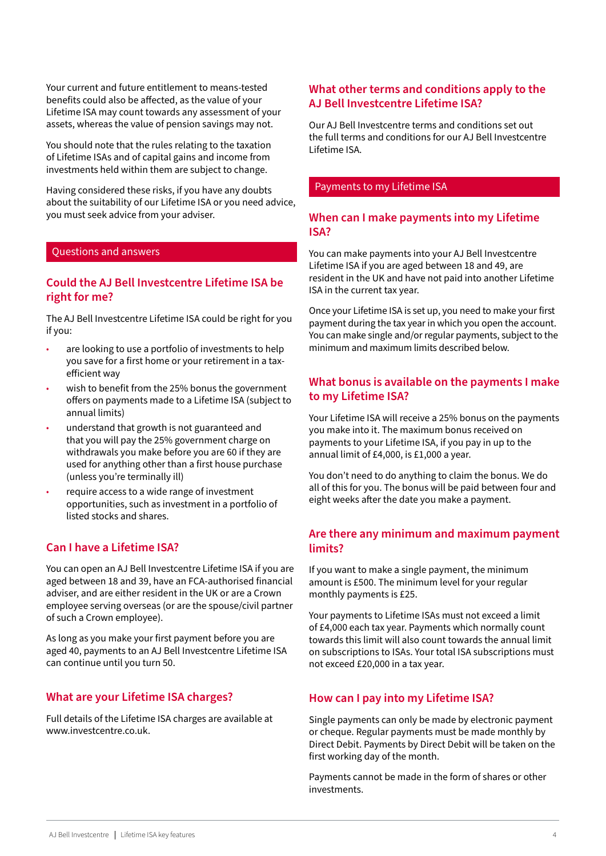<span id="page-3-0"></span>Your current and future entitlement to means-tested benefits could also be affected, as the value of your Lifetime ISA may count towards any assessment of your assets, whereas the value of pension savings may not.

You should note that the rules relating to the taxation of Lifetime ISAs and of capital gains and income from investments held within them are subject to change.

Having considered these risks, if you have any doubts about the suitability of our Lifetime ISA or you need advice, you must seek advice from your adviser.

#### Questions and answers

## **Could the AJ Bell Investcentre Lifetime ISA be right for me?**

The AJ Bell Investcentre Lifetime ISA could be right for you if you:

- are looking to use a portfolio of investments to help you save for a first home or your retirement in a taxefficient way
- wish to benefit from the 25% bonus the government offers on payments made to a Lifetime ISA (subject to annual limits)
- understand that growth is not guaranteed and that you will pay the 25% government charge on withdrawals you make before you are 60 if they are used for anything other than a first house purchase (unless you're terminally ill)
- require access to a wide range of investment opportunities, such as investment in a portfolio of listed stocks and shares.

## **Can I have a Lifetime ISA?**

You can open an AJ Bell Investcentre Lifetime ISA if you are aged between 18 and 39, have an FCA-authorised financial adviser, and are either resident in the UK or are a Crown employee serving overseas (or are the spouse/civil partner of such a Crown employee).

As long as you make your first payment before you are aged 40, payments to an AJ Bell Investcentre Lifetime ISA can continue until you turn 50.

## **What are your Lifetime ISA charges?**

Full details of the Lifetime ISA charges are available at www.investcentre.co.uk.

## **What other terms and conditions apply to the AJ Bell Investcentre Lifetime ISA?**

Our AJ Bell Investcentre terms and conditions set out the full terms and conditions for our AJ Bell Investcentre Lifetime ISA.

#### Payments to my Lifetime ISA

## **When can I make payments into my Lifetime ISA?**

You can make payments into your AJ Bell Investcentre Lifetime ISA if you are aged between 18 and 49, are resident in the UK and have not paid into another Lifetime ISA in the current tax year.

Once your Lifetime ISA is set up, you need to make your first payment during the tax year in which you open the account. You can make single and/or regular payments, subject to the minimum and maximum limits described below.

# **What bonus is available on the payments I make to my Lifetime ISA?**

Your Lifetime ISA will receive a 25% bonus on the payments you make into it. The maximum bonus received on payments to your Lifetime ISA, if you pay in up to the annual limit of £4,000, is £1,000 a year.

You don't need to do anything to claim the bonus. We do all of this for you. The bonus will be paid between four and eight weeks after the date you make a payment.

## **Are there any minimum and maximum payment limits?**

If you want to make a single payment, the minimum amount is £500. The minimum level for your regular monthly payments is £25.

Your payments to Lifetime ISAs must not exceed a limit of £4,000 each tax year. Payments which normally count towards this limit will also count towards the annual limit on subscriptions to ISAs. Your total ISA subscriptions must not exceed £20,000 in a tax year.

## **How can I pay into my Lifetime ISA?**

Single payments can only be made by electronic payment or cheque. Regular payments must be made monthly by Direct Debit. Payments by Direct Debit will be taken on the first working day of the month.

Payments cannot be made in the form of shares or other investments.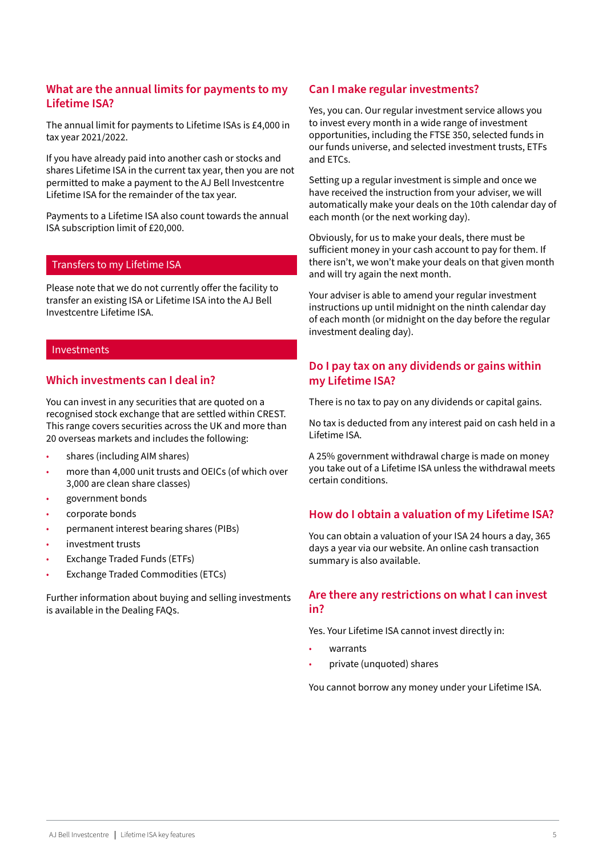# <span id="page-4-0"></span>**What are the annual limits for payments to my Lifetime ISA?**

The annual limit for payments to Lifetime ISAs is £4,000 in tax year 2021/2022.

If you have already paid into another cash or stocks and shares Lifetime ISA in the current tax year, then you are not permitted to make a payment to the AJ Bell Investcentre Lifetime ISA for the remainder of the tax year.

Payments to a Lifetime ISA also count towards the annual ISA subscription limit of £20,000.

## Transfers to my Lifetime ISA

Please note that we do not currently offer the facility to transfer an existing ISA or Lifetime ISA into the AJ Bell Investcentre Lifetime ISA.

#### Investments

## **Which investments can I deal in?**

You can invest in any securities that are quoted on a recognised stock exchange that are settled within CREST. This range covers securities across the UK and more than 20 overseas markets and includes the following:

- shares (including AIM shares)
- more than 4,000 unit trusts and OEICs (of which over 3,000 are clean share classes)
- government bonds
- corporate bonds
- permanent interest bearing shares (PIBs)
- investment trusts
- Exchange Traded Funds (ETFs)
- Exchange Traded Commodities (ETCs)

Further information about buying and selling investments is available in the Dealing FAQs.

## **Can I make regular investments?**

Yes, you can. Our regular investment service allows you to invest every month in a wide range of investment opportunities, including the FTSE 350, selected funds in our funds universe, and selected investment trusts, ETFs and ETCs.

Setting up a regular investment is simple and once we have received the instruction from your adviser, we will automatically make your deals on the 10th calendar day of each month (or the next working day).

Obviously, for us to make your deals, there must be sufficient money in your cash account to pay for them. If there isn't, we won't make your deals on that given month and will try again the next month.

Your adviser is able to amend your regular investment instructions up until midnight on the ninth calendar day of each month (or midnight on the day before the regular investment dealing day).

# **Do I pay tax on any dividends or gains within my Lifetime ISA?**

There is no tax to pay on any dividends or capital gains.

No tax is deducted from any interest paid on cash held in a Lifetime ISA.

A 25% government withdrawal charge is made on money you take out of a Lifetime ISA unless the withdrawal meets certain conditions.

## **How do I obtain a valuation of my Lifetime ISA?**

You can obtain a valuation of your ISA 24 hours a day, 365 days a year via our website. An online cash transaction summary is also available.

# **Are there any restrictions on what I can invest in?**

Yes. Your Lifetime ISA cannot invest directly in:

- warrants
- private (unquoted) shares

You cannot borrow any money under your Lifetime ISA.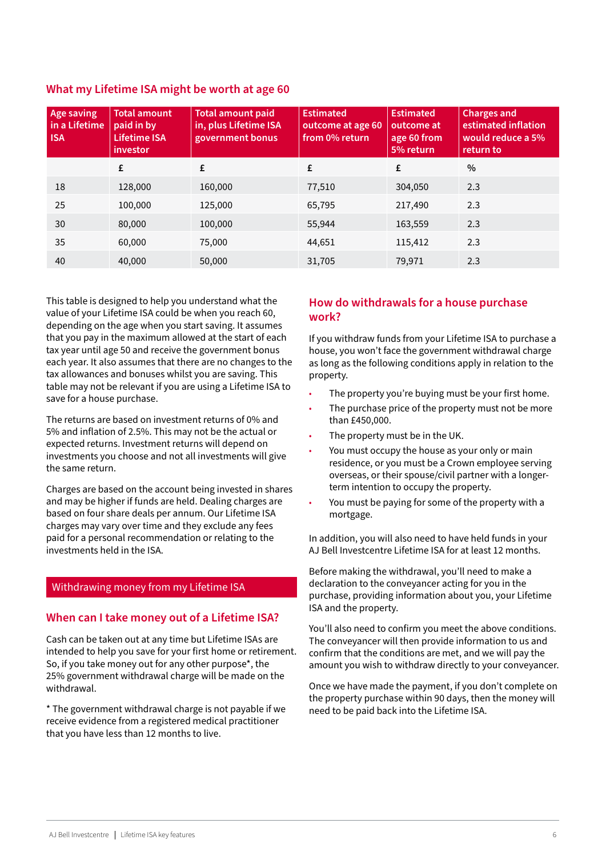| <b>Age saving</b><br>in a Lifetime<br><b>ISA</b> | <b>Total amount</b><br>paid in by<br><b>Lifetime ISA</b><br>investor | <b>Total amount paid</b><br>in, plus Lifetime ISA<br>government bonus | <b>Estimated</b><br>outcome at age 60<br>from 0% return | <b>Estimated</b><br>outcome at<br>age 60 from<br>5% return | <b>Charges and</b><br>estimated inflation<br>would reduce a 5%<br>return to |
|--------------------------------------------------|----------------------------------------------------------------------|-----------------------------------------------------------------------|---------------------------------------------------------|------------------------------------------------------------|-----------------------------------------------------------------------------|
|                                                  | £                                                                    | £                                                                     | £                                                       | £                                                          | $\%$                                                                        |
| 18                                               | 128,000                                                              | 160,000                                                               | 77,510                                                  | 304,050                                                    | 2.3                                                                         |
| 25                                               | 100,000                                                              | 125,000                                                               | 65,795                                                  | 217,490                                                    | 2.3                                                                         |
| 30                                               | 80,000                                                               | 100,000                                                               | 55,944                                                  | 163,559                                                    | 2.3                                                                         |
| 35                                               | 60,000                                                               | 75,000                                                                | 44,651                                                  | 115,412                                                    | 2.3                                                                         |
| 40                                               | 40,000                                                               | 50,000                                                                | 31,705                                                  | 79,971                                                     | 2.3                                                                         |

# <span id="page-5-0"></span>**What my Lifetime ISA might be worth at age 60**

This table is designed to help you understand what the value of your Lifetime ISA could be when you reach 60, depending on the age when you start saving. It assumes that you pay in the maximum allowed at the start of each tax year until age 50 and receive the government bonus each year. It also assumes that there are no changes to the tax allowances and bonuses whilst you are saving. This table may not be relevant if you are using a Lifetime ISA to save for a house purchase.

The returns are based on investment returns of 0% and 5% and inflation of 2.5%. This may not be the actual or expected returns. Investment returns will depend on investments you choose and not all investments will give the same return.

Charges are based on the account being invested in shares and may be higher if funds are held. Dealing charges are based on four share deals per annum. Our Lifetime ISA charges may vary over time and they exclude any fees paid for a personal recommendation or relating to the investments held in the ISA.

## Withdrawing money from my Lifetime ISA

## **When can I take money out of a Lifetime ISA?**

Cash can be taken out at any time but Lifetime ISAs are intended to help you save for your first home or retirement. So, if you take money out for any other purpose\*, the 25% government withdrawal charge will be made on the withdrawal.

\* The government withdrawal charge is not payable if we receive evidence from a registered medical practitioner that you have less than 12 months to live.

## **How do withdrawals for a house purchase work?**

If you withdraw funds from your Lifetime ISA to purchase a house, you won't face the government withdrawal charge as long as the following conditions apply in relation to the property.

- The property you're buying must be your first home.
- The purchase price of the property must not be more than £450,000.
- The property must be in the UK.
- You must occupy the house as your only or main residence, or you must be a Crown employee serving overseas, or their spouse/civil partner with a longerterm intention to occupy the property.
- You must be paying for some of the property with a mortgage.

In addition, you will also need to have held funds in your AJ Bell Investcentre Lifetime ISA for at least 12 months.

Before making the withdrawal, you'll need to make a declaration to the conveyancer acting for you in the purchase, providing information about you, your Lifetime ISA and the property.

You'll also need to confirm you meet the above conditions. The conveyancer will then provide information to us and confirm that the conditions are met, and we will pay the amount you wish to withdraw directly to your conveyancer.

Once we have made the payment, if you don't complete on the property purchase within 90 days, then the money will need to be paid back into the Lifetime ISA.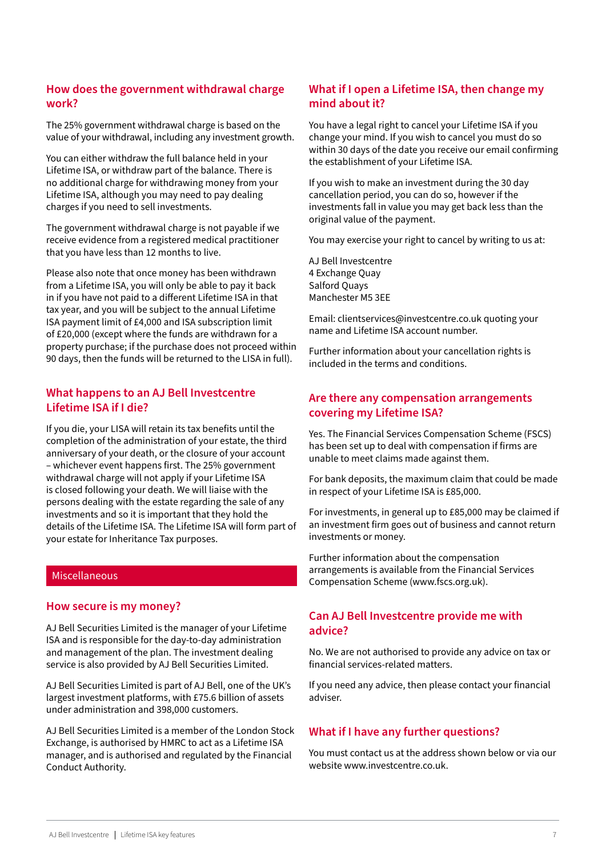# <span id="page-6-0"></span>**How does the government withdrawal charge work?**

The 25% government withdrawal charge is based on the value of your withdrawal, including any investment growth.

You can either withdraw the full balance held in your Lifetime ISA, or withdraw part of the balance. There is no additional charge for withdrawing money from your Lifetime ISA, although you may need to pay dealing charges if you need to sell investments.

The government withdrawal charge is not payable if we receive evidence from a registered medical practitioner that you have less than 12 months to live.

Please also note that once money has been withdrawn from a Lifetime ISA, you will only be able to pay it back in if you have not paid to a different Lifetime ISA in that tax year, and you will be subject to the annual Lifetime ISA payment limit of £4,000 and ISA subscription limit of £20,000 (except where the funds are withdrawn for a property purchase; if the purchase does not proceed within 90 days, then the funds will be returned to the LISA in full).

## **What happens to an AJ Bell Investcentre Lifetime ISA if I die?**

If you die, your LISA will retain its tax benefits until the completion of the administration of your estate, the third anniversary of your death, or the closure of your account – whichever event happens first. The 25% government withdrawal charge will not apply if your Lifetime ISA is closed following your death. We will liaise with the persons dealing with the estate regarding the sale of any investments and so it is important that they hold the details of the Lifetime ISA. The Lifetime ISA will form part of your estate for Inheritance Tax purposes.

## Miscellaneous

## **How secure is my money?**

AJ Bell Securities Limited is the manager of your Lifetime ISA and is responsible for the day-to-day administration and management of the plan. The investment dealing service is also provided by AJ Bell Securities Limited.

AJ Bell Securities Limited is part of AJ Bell, one of the UK's largest investment platforms, with £75.6 billion of assets under administration and 398,000 customers.

AJ Bell Securities Limited is a member of the London Stock Exchange, is authorised by HMRC to act as a Lifetime ISA manager, and is authorised and regulated by the Financial Conduct Authority.

# **What if I open a Lifetime ISA, then change my mind about it?**

You have a legal right to cancel your Lifetime ISA if you change your mind. If you wish to cancel you must do so within 30 days of the date you receive our email confirming the establishment of your Lifetime ISA.

If you wish to make an investment during the 30 day cancellation period, you can do so, however if the investments fall in value you may get back less than the original value of the payment.

You may exercise your right to cancel by writing to us at:

AJ Bell Investcentre 4 Exchange Quay Salford Quays Manchester M5 3EE

Email: clientservices@investcentre.co.uk quoting your name and Lifetime ISA account number.

Further information about your cancellation rights is included in the terms and conditions.

# **Are there any compensation arrangements covering my Lifetime ISA?**

Yes. The Financial Services Compensation Scheme (FSCS) has been set up to deal with compensation if firms are unable to meet claims made against them.

For bank deposits, the maximum claim that could be made in respect of your Lifetime ISA is £85,000.

For investments, in general up to £85,000 may be claimed if an investment firm goes out of business and cannot return investments or money.

Further information about the compensation arrangements is available from the Financial Services Compensation Scheme (www.fscs.org.uk).

# **Can AJ Bell Investcentre provide me with advice?**

No. We are not authorised to provide any advice on tax or financial services-related matters.

If you need any advice, then please contact your financial adviser.

## **What if I have any further questions?**

You must contact us at the address shown below or via our website www.investcentre.co.uk.